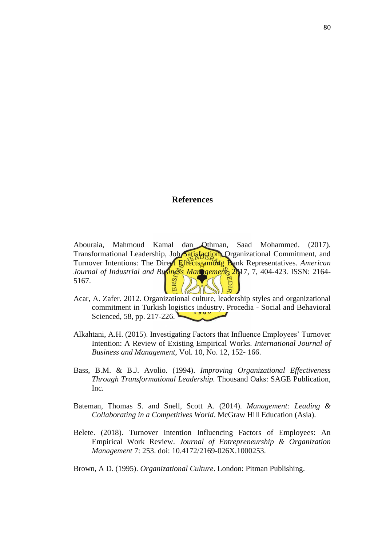## **References**

Abouraia, Mahmoud Kamal dan Othman, Saad Mohammed. (2017). Transformational Leadership, Job Satisfaction, Organizational Commitment, and Turnover Intentions: The Direct Effects among Bank Representatives. *American Journal of Industrial and Business Management*, 2017, 7, 404-423. ISSN: 2164-<br>5167. 5167.  $E(\epsilon)$  $\mathscr{U}$ 

- Acar, A. Zafer. 2012. Organizational culture, leadership styles and organizational commitment in Turkish logistics industry. Procedia - Social and Behavioral Scienced, 58, pp. 217-226.
- Alkahtani, A.H. (2015). Investigating Factors that Influence Employees' Turnover Intention: A Review of Existing Empirical Works. *International Journal of Business and Management*, Vol. 10, No. 12, 152- 166.
- Bass, B.M. & B.J. Avolio. (1994). *Improving Organizational Effectiveness Through Transformational Leadership.* Thousand Oaks: SAGE Publication, Inc.
- Bateman, Thomas S. and Snell, Scott A. (2014). *Management: Leading & Collaborating in a Competitives World*. McGraw Hill Education (Asia).
- Belete. (2018). Turnover Intention Influencing Factors of Employees: An Empirical Work Review. *Journal of Entrepreneurship & Organization Management* 7: 253. doi: 10.4172/2169-026X.1000253.

Brown, A D. (1995). *Organizational Culture*. London: Pitman Publishing.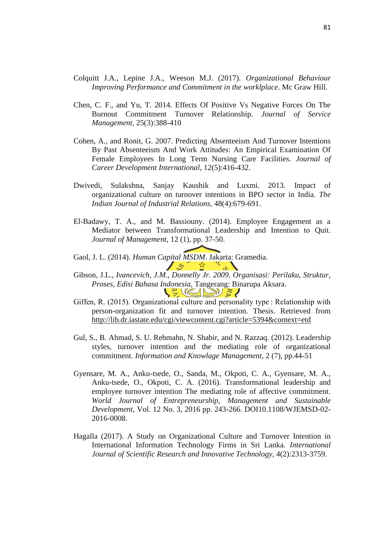- Colquitt J.A., Lepine J.A., Weeson M.J. (2017). *Organizational Behaviour Improving Performance and Commitment in the worklplace*. Mc Graw Hill.
- Chen, C. F., and Yu, T. 2014. Effects Of Positive Vs Negative Forces On The Burnout Commitment Turnover Relationship. *Journal of Service Management,* 25(3):388-410
- Cohen, A., and Ronit, G. 2007. Predicting Absenteeism And Turnover Intentions By Past Absenteeism And Work Attitudes: An Empirical Examination Of Female Employees In Long Term Nursing Care Facilities. *Journal of Career Development International*, 12(5):416-432.
- Dwivedi, Sulakshna, Sanjay Kaushik and Luxmi. 2013. Impact of organizational culture on turnover intentions in BPO sector in India. *The Indian Journal of Industrial Relations,* 48(4):679-691.
- El-Badawy, T. A., and M. Bassiouny. (2014). Employee Engagement as a Mediator between Transformational Leadership and Intention to Quit. *Journal of Management*, 12 (1), pp. 37-50.
- Gaol, J. L. (2014). *Human Capital MSDM*. Jakarta: Gramedia.
- Gibson, J.L., *Ivancevich, J.M., Donnelly Jr. 2009. Organisasi: Perilaku, Struktur, Proses, Edisi Bahasa Indonesia*, Tangerang: Binarupa Aksara.  $\frac{1}{2}$  (200)  $\frac{3}{2}$
- Giffen, R. (2015). Organizational culture and personality type : Relationship with person-organization fit and turnover intention. Thesis. Retrieved from <http://lib.dr.iastate.edu/cgi/viewcontent.cgi?article=5394&context=etd>
- Gul, S., B. Ahmad, S. U. Rehmahn, N. Shabir, and N. Razzaq. (2012). Leadership styles, turnover intention and the mediating role of organizational commitment. *Information and Knowlage Management*, 2 (7), pp.44-51
- Gyensare, M. A., Anku-tsede, O., Sanda, M., Okpoti, C. A., Gyensare, M. A., Anku-tsede, O., Okpoti, C. A. (2016). Transformational leadership and employee turnover intention The mediating role of affective commitment. *World Journal of Entrepreneurship, Management and Sustainable Development,* Vol. 12 No. 3, 2016 pp. 243-266. DOI10.1108/WJEMSD-02- 2016-0008.
- Hagalla (2017). A Study on Organizational Culture and Turnover Intention in International Information Technology Firms in Sri Lanka. *International Journal of Scientific Research and Innovative Technology*, 4(2):2313-3759.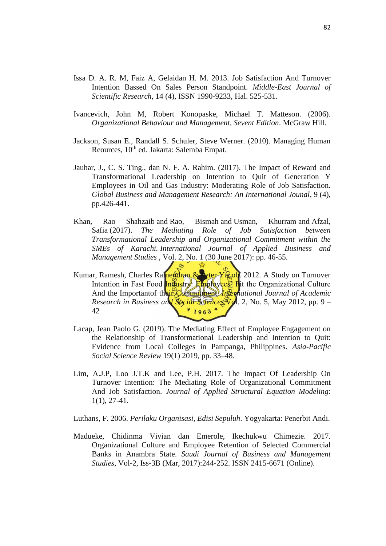- Issa D. A. R. M, Faiz A, Gelaidan H. M. 2013. Job Satisfaction And Turnover Intention Bassed On Sales Person Standpoint. *Middle-East Journal of Scientific Research*, 14 (4), ISSN 1990-9233, Hal. 525-531.
- Ivancevich, John M, Robert Konopaske, Michael T. Matteson. (2006). *Organizational Behaviour and Management, Sevent Edition*. McGraw Hill.
- Jackson, Susan E., Randall S. Schuler, Steve Werner. (2010). Managing Human Reources, 10<sup>th</sup> ed. Jakarta: Salemba Empat.
- Jauhar, J., C. S. Ting., dan N. F. A. Rahim. (2017). The Impact of Reward and Transformational Leadership on Intention to Quit of Generation Y Employees in Oil and Gas Industry: Moderating Role of Job Satisfaction. *Global Business and Management Research: An International Jounal*, 9 (4), pp.426-441.
- Khan, Rao Shahzaib and Rao, Bismah and Usman, Khurram and Afzal, Safia (2017). *The Mediating Role of Job Satisfaction between Transformational Leadership and Organizational Commitment within the SMEs of Karachi. International Journal of Applied Business and Management Studies*, Vol. 2, No. 1 (30 June 2017): pp. 46-55.
- Kumar, Ramesh, Charles Ramendran & Peter Yacob. 2012. A Study on Turnover Intention in Fast Food  $Inffustry: Emplovee<sup>2</sup>$  Fit the Organizational Culture And the Importantof their Commitment. *International Journal of Academic Research in Business and Social Sciences Vol.* 2, No. 5, May 2012, pp. 9 –  $*1963*$ 42
- Lacap, Jean Paolo G. (2019). The Mediating Effect of Employee Engagement on the Relationship of Transformational Leadership and Intention to Quit: Evidence from Local Colleges in Pampanga, Philippines. *Asia-Pacific Social Science Review* 19(1) 2019, pp. 33–48.
- Lim, A.J.P, Loo J.T.K and Lee, P.H. 2017. The Impact Of Leadership On Turnover Intention: The Mediating Role of Organizational Commitment And Job Satisfaction. *Journal of Applied Structural Equation Modeling*: 1(1), 27-41.

Luthans, F. 2006. *Perilaku Organisasi, Edisi Sepuluh*. Yogyakarta: Penerbit Andi.

Madueke, Chidinma Vivian dan Emerole, Ikechukwu Chimezie. 2017. Organizational Culture and Employee Retention of Selected Commercial Banks in Anambra State. *Saudi Journal of Business and Management Studies*, Vol-2, Iss-3B (Mar, 2017):244-252. ISSN 2415-6671 (Online).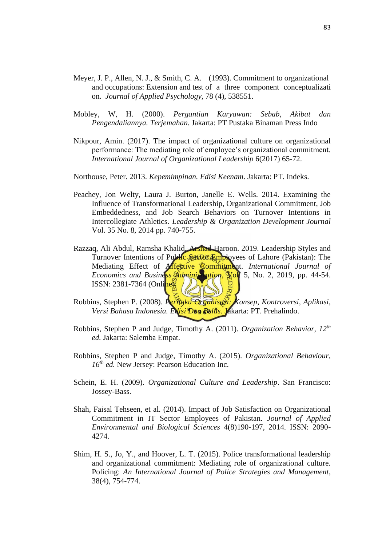- Meyer, J. P., Allen, N. J., & Smith, C. A. (1993). Commitment to organizational and occupations: Extension and test of a three component conceptualizati on. *Journal of Applied Psychology*, 78 (4), 538551.
- Mobley, W, H. (2000). *Pergantian Karyawan: Sebab, Akibat dan Pengendaliannya. Terjemahan.* Jakarta: PT Pustaka Binaman Press Indo
- Nikpour, Amin. (2017). The impact of organizational culture on organizational performance: The mediating role of employee's organizational commitment. *International Journal of Organizational Leadership* 6(2017) 65-72.

Northouse, Peter. 2013. *Kepemimpinan. Edisi Keenam*. Jakarta: PT. Indeks.

- Peachey, Jon Welty, Laura J. Burton, Janelle E. Wells. 2014. Examining the Influence of Transformational Leadership, Organizational Commitment, Job Embeddedness, and Job Search Behaviors on Turnover Intentions in Intercollegiate Athletics. *Leadership & Organization Development Journal* Vol. 35 No. 8, 2014 pp. 740-755.
- Razzaq, Ali Abdul, Ramsha Khalid, Arshad Haroon. 2019. Leadership Styles and Turnover Intentions of Public Sector Employees of Lahore (Pakistan): The Mediating Effect of **Affective Commitment**. *International Journal of Economics and Business Administration*, Yol. 5, No. 2, 2019, pp. 44-54. ISSN: 2381-7364 (Online).
- Robbins, Stephen P. (2008). *Perilaku Organisasi: Konsep, Kontroversi, Aplikasi, Versi Bahasa Indonesia. Edisi Dua Belas*. Jakarta: PT. Prehalindo.
- Robbins, Stephen P and Judge, Timothy A. (2011). *Organization Behavior, 12th ed.* Jakarta: Salemba Empat.
- Robbins, Stephen P and Judge, Timothy A. (2015). *Organizational Behaviour, 16th ed.* New Jersey: Pearson Education Inc.
- Schein, E. H. (2009). *Organizational Culture and Leadership*. San Francisco: Jossey-Bass.
- Shah, Faisal Tehseen, et al. (2014). Impact of Job Satisfaction on Organizational Commitment in IT Sector Employees of Pakistan. *Journal of Applied Environmental and Biological Sciences* 4(8)190-197, 2014. ISSN: 2090- 4274.
- Shim, H. S., Jo, Y., and Hoover, L. T. (2015). Police transformational leadership and organizational commitment: Mediating role of organizational culture. Policing: *An International Journal of Police Strategies and Management*, 38(4), 754-774.